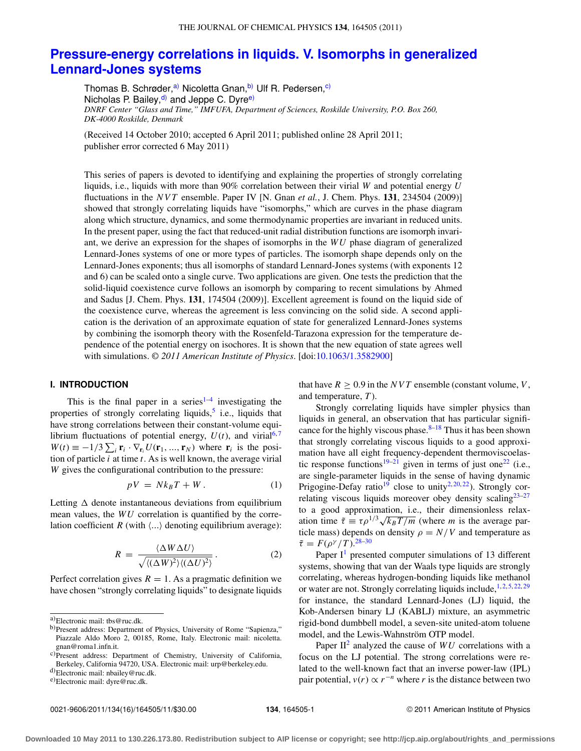# **[Pressure-energy correlations in liquids. V. Isomorphs in generalized](http://dx.doi.org/10.1063/1.3582900) [Lennard-Jones systems](http://dx.doi.org/10.1063/1.3582900)**

Thomas B. Schrøder,<sup>[a\)](#page-0-0)</sup> Nicoletta Gnan,<sup>[b\)](#page-0-1)</sup> Ulf R. Pedersen,<sup>c)</sup> Nicholas P. Bailey, $\frac{d}{d}$  and Jeppe C. Dyre<sup>e)</sup> *DNRF Center "Glass and Time," IMFUFA, Department of Sciences, Roskilde University, P.O. Box 260, DK-4000 Roskilde, Denmark*

(Received 14 October 2010; accepted 6 April 2011; published online 28 April 2011; publisher error corrected 6 May 2011)

This series of papers is devoted to identifying and explaining the properties of strongly correlating liquids, i.e., liquids with more than 90% correlation between their virial *W* and potential energy *U* fluctuations in the *NVT* ensemble. Paper IV [N. Gnan *et al.*, J. Chem. Phys. **131**, 234504 (2009)] showed that strongly correlating liquids have "isomorphs," which are curves in the phase diagram along which structure, dynamics, and some thermodynamic properties are invariant in reduced units. In the present paper, using the fact that reduced-unit radial distribution functions are isomorph invariant, we derive an expression for the shapes of isomorphs in the *WU* phase diagram of generalized Lennard-Jones systems of one or more types of particles. The isomorph shape depends only on the Lennard-Jones exponents; thus all isomorphs of standard Lennard-Jones systems (with exponents 12 and 6) can be scaled onto a single curve. Two applications are given. One tests the prediction that the solid-liquid coexistence curve follows an isomorph by comparing to recent simulations by Ahmed and Sadus [J. Chem. Phys. **131**, 174504 (2009)]. Excellent agreement is found on the liquid side of the coexistence curve, whereas the agreement is less convincing on the solid side. A second application is the derivation of an approximate equation of state for generalized Lennard-Jones systems by combining the isomorph theory with the Rosenfeld-Tarazona expression for the temperature dependence of the potential energy on isochores. It is shown that the new equation of state agrees well with simulations. *© 2011 American Institute of Physics*. [doi[:10.1063/1.3582900\]](http://dx.doi.org/10.1063/1.3582900)

#### **I. INTRODUCTION**

This is the final paper in a series<sup>[1](#page-9-0)-4</sup> investigating the properties of strongly correlating liquids,<sup>[5](#page-9-2)</sup> i.e., liquids that have strong correlations between their constant-volume equilibrium fluctuations of potential energy,  $U(t)$ , and virial<sup>[6,](#page-9-3)[7](#page-9-4)</sup>  $W(t) \equiv -1/3 \sum_i \mathbf{r}_i \cdot \nabla_{\mathbf{r}_i} U(\mathbf{r}_1, ..., \mathbf{r}_N)$  where  $\mathbf{r}_i$  is the position of particle *i* at time *t*. As is well known, the average virial *W* gives the configurational contribution to the pressure:

$$
pV = Nk_B T + W.
$$
 (1)

Letting  $\Delta$  denote instantaneous deviations from equilibrium mean values, the *WU* correlation is quantified by the correlation coefficient  $R$  (with  $\langle ... \rangle$  denoting equilibrium average):

$$
R = \frac{\langle \Delta W \Delta U \rangle}{\sqrt{\langle (\Delta W)^2 \rangle \langle (\Delta U)^2 \rangle}}.
$$
 (2)

Perfect correlation gives  $R = 1$ . As a pragmatic definition we have chosen "strongly correlating liquids" to designate liquids that have  $R \geq 0.9$  in the *NVT* ensemble (constant volume, *V*, and temperature, *T* ).

Strongly correlating liquids have simpler physics than liquids in general, an observation that has particular significance for the highly viscous phase. $8-18$  $8-18$  Thus it has been shown that strongly correlating viscous liquids to a good approximation have all eight frequency-dependent thermoviscoelas-tic response functions<sup>[19–](#page-9-7)[21](#page-9-8)</sup> given in terms of just one<sup>22</sup> (i.e., are single-parameter liquids in the sense of having dynamic Prigogine-Defay ratio<sup>19</sup> close to unity<sup>2, [20,](#page-9-11) 22</sup>). Strongly cor-relating viscous liquids moreover obey density scaling<sup>23–[27](#page-9-13)</sup> to a good approximation, i.e., their dimensionless relaxation time  $\tilde{\tau} \equiv \tau \rho^{1/3} \sqrt{k_B T/m}$  (where *m* is the average particle mass) depends on density  $\rho = N/V$  and temperature as  $\tilde{\tau} = F(\rho^{\gamma}/T).^{28-30}$  $\tilde{\tau} = F(\rho^{\gamma}/T).^{28-30}$  $\tilde{\tau} = F(\rho^{\gamma}/T).^{28-30}$ 

Paper  $I<sup>1</sup>$  $I<sup>1</sup>$  $I<sup>1</sup>$  presented computer simulations of 13 different systems, showing that van der Waals type liquids are strongly correlating, whereas hydrogen-bonding liquids like methanol or water are not. Strongly correlating liquids include,  $1, 2, 5, 22, 29$  $1, 2, 5, 22, 29$  $1, 2, 5, 22, 29$  $1, 2, 5, 22, 29$  $1, 2, 5, 22, 29$  $1, 2, 5, 22, 29$  $1, 2, 5, 22, 29$  $1, 2, 5, 22, 29$ for instance, the standard Lennard-Jones (LJ) liquid, the Kob-Andersen binary LJ (KABLJ) mixture, an asymmetric rigid-bond dumbbell model, a seven-site united-atom toluene model, and the Lewis-Wahnström OTP model.

Paper  $II^2$  analyzed the cause of  $WU$  correlations with a focus on the LJ potential. The strong correlations were related to the well-known fact that an inverse power-law (IPL) pair potential,  $v(r) \propto r^{-n}$  where *r* is the distance between two

<span id="page-0-0"></span>a)Electronic mail: [tbs@ruc.dk.](mailto: tbs@ruc.dk)

<span id="page-0-1"></span>b)Present address: Department of Physics, University of Rome "Sapienza," Piazzale Aldo Moro 2, 00185, Rome, Italy. Electronic mail: [nicoletta.](mailto: nicoletta.gnan@roma1.infn.it) [gnan@roma1.infn.it.](mailto: nicoletta.gnan@roma1.infn.it)

<span id="page-0-2"></span>c)Present address: Department of Chemistry, University of California, Berkeley, California 94720, USA. Electronic mail: [urp@berkeley.edu.](mailto: urp@berkeley.edu)

<span id="page-0-3"></span>d)Electronic mail: [nbailey@ruc.dk.](mailto: nbailey@ruc.dk)

<span id="page-0-4"></span>e)Electronic mail: [dyre@ruc.dk.](mailto: dyre@ruc.dk)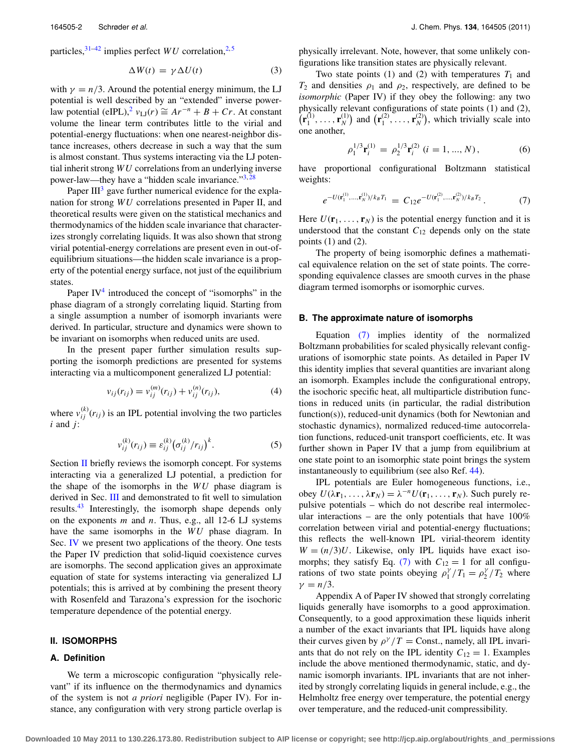particles,  $31-42$  $31-42$  implies perfect *WU* correlation,  $2.5$  $2.5$ 

$$
\Delta W(t) = \gamma \Delta U(t) \tag{3}
$$

with  $\gamma = n/3$ . Around the potential energy minimum, the LJ potential is well described by an "extended" inverse powerlaw potential (eIPL),<sup>2</sup>  $v_{\text{LI}}(r) \cong Ar^{-n} + B + Cr$ . At constant volume the linear term contributes little to the virial and potential-energy fluctuations: when one nearest-neighbor distance increases, others decrease in such a way that the sum is almost constant. Thus systems interacting via the LJ potential inherit strong *WU* correlations from an underlying inverse power-law—they have a "hidden scale invariance."<sup>3,[28](#page-9-14)</sup>

Paper  $III<sup>3</sup>$  $III<sup>3</sup>$  $III<sup>3</sup>$  gave further numerical evidence for the explanation for strong *WU* correlations presented in Paper II, and theoretical results were given on the statistical mechanics and thermodynamics of the hidden scale invariance that characterizes strongly correlating liquids. It was also shown that strong virial potential-energy correlations are present even in out-ofequilibrium situations—the hidden scale invariance is a property of the potential energy surface, not just of the equilibrium states.

Paper  $IV<sup>4</sup>$  introduced the concept of "isomorphs" in the phase diagram of a strongly correlating liquid. Starting from a single assumption a number of isomorph invariants were derived. In particular, structure and dynamics were shown to be invariant on isomorphs when reduced units are used.

In the present paper further simulation results supporting the isomorph predictions are presented for systems interacting via a multicomponent generalized LJ potential:

$$
v_{ij}(r_{ij}) = v_{ij}^{(m)}(r_{ij}) + v_{ij}^{(n)}(r_{ij}),
$$
\n(4)

where  $v_{ij}^{(k)}(r_{ij})$  is an IPL potential involving the two particles *i* and *j*:

$$
v_{ij}^{(k)}(r_{ij}) \equiv \varepsilon_{ij}^{(k)} (\sigma_{ij}^{(k)}/r_{ij})^k.
$$
 (5)

Section [II](#page-1-0) briefly reviews the isomorph concept. For systems interacting via a generalized LJ potential, a prediction for the shape of the isomorphs in the *WU* phase diagram is derived in Sec. [III](#page-3-0) and demonstrated to fit well to simulation results.<sup>[43](#page-9-20)</sup> Interestingly, the isomorph shape depends only on the exponents *m* and *n*. Thus, e.g., all 12-6 LJ systems have the same isomorphs in the *WU* phase diagram. In Sec. [IV](#page-5-0) we present two applications of the theory. One tests the Paper IV prediction that solid-liquid coexistence curves are isomorphs. The second application gives an approximate equation of state for systems interacting via generalized LJ potentials; this is arrived at by combining the present theory with Rosenfeld and Tarazona's expression for the isochoric temperature dependence of the potential energy.

#### <span id="page-1-0"></span>**II. ISOMORPHS**

# **A. Definition**

We term a microscopic configuration "physically relevant" if its influence on the thermodynamics and dynamics of the system is not *a priori* negligible (Paper IV). For instance, any configuration with very strong particle overlap is physically irrelevant. Note, however, that some unlikely configurations like transition states are physically relevant.

Two state points (1) and (2) with temperatures  $T_1$  and  $T_2$  and densities  $\rho_1$  and  $\rho_2$ , respectively, are defined to be *isomorphic* (Paper IV) if they obey the following: any two physically relevant configurations of state points (1) and (2),  $\left( \mathbf{r}_1^{(1)}, \ldots, \mathbf{r}_N^{(1)} \right)$  and  $\left( \mathbf{r}_1^{(2)}, \ldots, \mathbf{r}_N^{(2)} \right)$ , which trivially scale into one another,

<span id="page-1-3"></span>
$$
\rho_1^{1/3} \mathbf{r}_i^{(1)} = \rho_2^{1/3} \mathbf{r}_i^{(2)} \ (i = 1, ..., N), \tag{6}
$$

have proportional configurational Boltzmann statistical weights:

<span id="page-1-1"></span>
$$
e^{-U(\mathbf{r}_1^{(1)},\ldots,\mathbf{r}_N^{(1)})/k_B T_1} = C_{12} e^{-U(\mathbf{r}_1^{(2)},\ldots,\mathbf{r}_N^{(2)})/k_B T_2} \,. \tag{7}
$$

Here  $U(\mathbf{r}_1, \ldots, \mathbf{r}_N)$  is the potential energy function and it is understood that the constant  $C_{12}$  depends only on the state points  $(1)$  and  $(2)$ .

The property of being isomorphic defines a mathematical equivalence relation on the set of state points. The corresponding equivalence classes are smooth curves in the phase diagram termed isomorphs or isomorphic curves.

### **B. The approximate nature of isomorphs**

<span id="page-1-2"></span>Equation [\(7\)](#page-1-1) implies identity of the normalized Boltzmann probabilities for scaled physically relevant configurations of isomorphic state points. As detailed in Paper IV this identity implies that several quantities are invariant along an isomorph. Examples include the configurational entropy, the isochoric specific heat, all multiparticle distribution functions in reduced units (in particular, the radial distribution function(s)), reduced-unit dynamics (both for Newtonian and stochastic dynamics), normalized reduced-time autocorrelation functions, reduced-unit transport coefficients, etc. It was further shown in Paper IV that a jump from equilibrium at one state point to an isomorphic state point brings the system instantaneously to equilibrium (see also Ref. [44\)](#page-9-21).

IPL potentials are Euler homogeneous functions, i.e., obey  $U(\lambda \mathbf{r}_1, \ldots, \lambda \mathbf{r}_N) = \lambda^{-n} U(\mathbf{r}_1, \ldots, \mathbf{r}_N)$ . Such purely repulsive potentials – which do not describe real intermolecular interactions – are the only potentials that have 100% correlation between virial and potential-energy fluctuations; this reflects the well-known IPL virial-theorem identity  $W = (n/3)U$ . Likewise, only IPL liquids have exact iso-morphs; they satisfy Eq. [\(7\)](#page-1-1) with  $C_{12} = 1$  for all configurations of two state points obeying  $\rho_1^{\gamma}/T_1 = \rho_2^{\gamma}/T_2$  where  $\gamma = n/3$ .

Appendix A of Paper IV showed that strongly correlating liquids generally have isomorphs to a good approximation. Consequently, to a good approximation these liquids inherit a number of the exact invariants that IPL liquids have along their curves given by  $\rho^{\gamma}/T =$  Const., namely, all IPL invariants that do not rely on the IPL identity  $C_{12} = 1$ . Examples include the above mentioned thermodynamic, static, and dynamic isomorph invariants. IPL invariants that are not inherited by strongly correlating liquids in general include, e.g., the Helmholtz free energy over temperature, the potential energy over temperature, and the reduced-unit compressibility.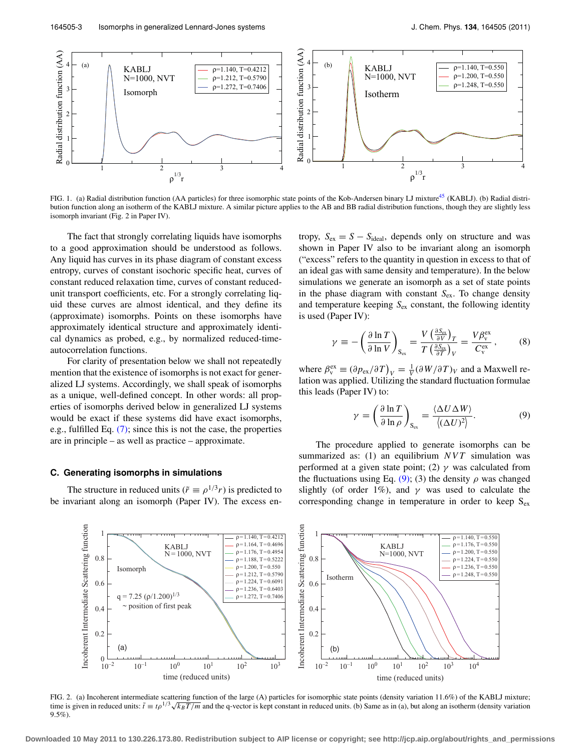<span id="page-2-1"></span>

FIG. 1. (a) Radial distribution function (AA particles) for three isomorphic state points of the Kob-Andersen binary LJ mixture<sup>45</sup> (KABLJ). (b) Radial distribution function along an isotherm of the KABLJ mixture. A similar picture applies to the AB and BB radial distribution functions, though they are slightly less isomorph invariant (Fig. 2 in Paper IV).

The fact that strongly correlating liquids have isomorphs to a good approximation should be understood as follows. Any liquid has curves in its phase diagram of constant excess entropy, curves of constant isochoric specific heat, curves of constant reduced relaxation time, curves of constant reducedunit transport coefficients, etc. For a strongly correlating liquid these curves are almost identical, and they define its (approximate) isomorphs. Points on these isomorphs have approximately identical structure and approximately identical dynamics as probed, e.g., by normalized reduced-timeautocorrelation functions.

For clarity of presentation below we shall not repeatedly mention that the existence of isomorphs is not exact for generalized LJ systems. Accordingly, we shall speak of isomorphs as a unique, well-defined concept. In other words: all properties of isomorphs derived below in generalized LJ systems would be exact if these systems did have exact isomorphs, e.g., fulfilled Eq.  $(7)$ ; since this is not the case, the properties are in principle – as well as practice – approximate.

#### <span id="page-2-4"></span>**C. Generating isomorphs in simulations**

The structure in reduced units ( $\tilde{r} \equiv \rho^{1/3} r$ ) is predicted to be invariant along an isomorph (Paper IV). The excess entropy,  $S_{\text{ex}} = S - S_{\text{ideal}}$ , depends only on structure and was shown in Paper IV also to be invariant along an isomorph ("excess" refers to the quantity in question in excess to that of an ideal gas with same density and temperature). In the below simulations we generate an isomorph as a set of state points in the phase diagram with constant  $S_{ex}$ . To change density and temperature keeping  $S_{\text{ex}}$  constant, the following identity is used (Paper IV):

<span id="page-2-3"></span>
$$
\gamma \equiv -\left(\frac{\partial \ln T}{\partial \ln V}\right)_{S_{\text{ex}}} = \frac{V \left(\frac{\partial S_{\text{ex}}}{\partial V}\right)_T}{T \left(\frac{\partial S_{\text{ex}}}{\partial T}\right)_V} = \frac{V \beta_{\text{v}}^{\text{ex}}}{C_{\text{v}}^{\text{ex}}},\tag{8}
$$

where  $\beta_{\rm v}^{\rm ex} \equiv (\partial p_{\rm ex}/\partial T)_{V} = \frac{1}{V} (\partial W/\partial T)_{V}$  and a Maxwell relation was applied. Utilizing the standard fluctuation formulae this leads (Paper IV) to:

<span id="page-2-0"></span>
$$
\gamma = \left(\frac{\partial \ln T}{\partial \ln \rho}\right)_{S_{\text{ex}}} = \frac{\langle \Delta U \Delta W \rangle}{\langle (\Delta U)^2 \rangle}.
$$
 (9)

The procedure applied to generate isomorphs can be summarized as: (1) an equilibrium *NVT* simulation was performed at a given state point; (2)  $\gamma$  was calculated from the fluctuations using Eq. [\(9\);](#page-2-0) (3) the density  $\rho$  was changed slightly (of order 1%), and  $\gamma$  was used to calculate the corresponding change in temperature in order to keep  $S_{ex}$ 

<span id="page-2-2"></span>

FIG. 2. (a) Incoherent intermediate scattering function of the large (A) particles for isomorphic state points (density variation 11.6%) of the KABLJ mixture; time is given in reduced units:  $\tilde{t} = t\rho^{1/3}\sqrt{k_B T/m}$  and the q-vector is kept constant in reduced units. (b) Same as in (a), but along an isotherm (density variation 9.5%).

**Downloaded 10 May 2011 to 130.226.173.80. Redistribution subject to AIP license or copyright; see http://jcp.aip.org/about/rights\_and\_permissions**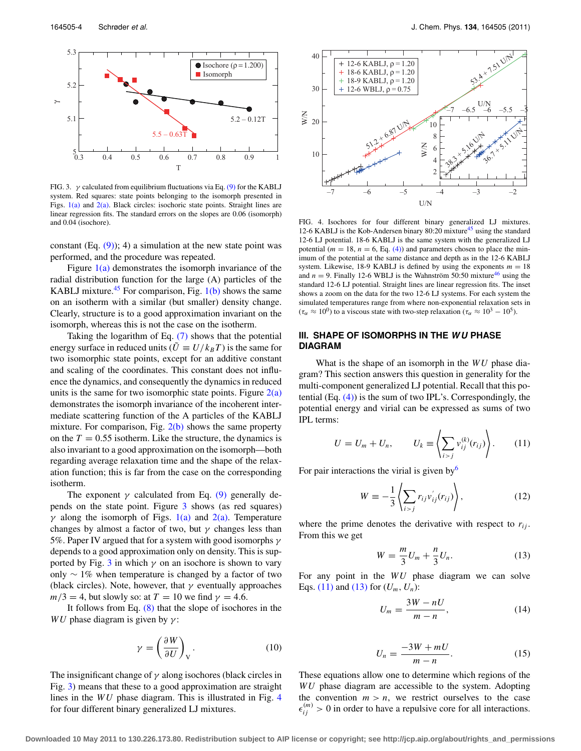<span id="page-3-1"></span>

FIG. 3.  $\gamma$  calculated from equilibrium fluctuations via Eq. [\(9\)](#page-2-0) for the KABLJ system. Red squares: state points belonging to the isomorph presented in Figs.  $1(a)$  and  $2(a)$ . Black circles: isochoric state points. Straight lines are linear regression fits. The standard errors on the slopes are 0.06 (isomorph) and 0.04 (isochore).

constant (Eq.  $(9)$ ); 4) a simulation at the new state point was performed, and the procedure was repeated.

Figure  $1(a)$  demonstrates the isomorph invariance of the radial distribution function for the large (A) particles of the KABLJ mixture.<sup>[45](#page-9-22)</sup> For comparison, Fig.  $1(b)$  shows the same on an isotherm with a similar (but smaller) density change. Clearly, structure is to a good approximation invariant on the isomorph, whereas this is not the case on the isotherm.

Taking the logarithm of Eq. [\(7\)](#page-1-1) shows that the potential energy surface in reduced units ( $U \equiv U/k_B T$ ) is the same for two isomorphic state points, except for an additive constant and scaling of the coordinates. This constant does not influence the dynamics, and consequently the dynamics in reduced units is the same for two isomorphic state points. Figure  $2(a)$ demonstrates the isomorph invariance of the incoherent intermediate scattering function of the A particles of the KABLJ mixture. For comparison, Fig.  $2(b)$  shows the same property on the  $T = 0.55$  isotherm. Like the structure, the dynamics is also invariant to a good approximation on the isomorph—both regarding average relaxation time and the shape of the relaxation function; this is far from the case on the corresponding isotherm.

The exponent  $\gamma$  calculated from Eq. [\(9\)](#page-2-0) generally depends on the state point. Figure [3](#page-3-1) shows (as red squares)  $\gamma$  along the isomorph of Figs. [1\(a\)](#page-2-1) and [2\(a\).](#page-2-2) Temperature changes by almost a factor of two, but  $\gamma$  changes less than 5%. Paper IV argued that for a system with good isomorphs  $\gamma$ depends to a good approximation only on density. This is sup-ported by Fig. [3](#page-3-1) in which  $\gamma$  on an isochore is shown to vary only ∼ 1% when temperature is changed by a factor of two (black circles). Note, however, that  $\gamma$  eventually approaches  $m/3 = 4$ , but slowly so: at  $T = 10$  we find  $\gamma = 4.6$ .

It follows from Eq. [\(8\)](#page-2-3) that the slope of isochores in the *WU* phase diagram is given by  $\gamma$ :

$$
\gamma = \left(\frac{\partial W}{\partial U}\right)_V.
$$
 (10)

The insignificant change of  $\gamma$  along isochores (black circles in Fig. [3\)](#page-3-1) means that these to a good approximation are straight lines in the *WU* phase diagram. This is illustrated in Fig. [4](#page-3-2) for four different binary generalized LJ mixtures.

<span id="page-3-2"></span>

FIG. 4. Isochores for four different binary generalized LJ mixtures. 12-6 KABLJ is the Kob-Andersen binary 80:20 mixture<sup>[45](#page-9-22)</sup> using the standard 12-6 LJ potential. 18-6 KABLJ is the same system with the generalized LJ potential ( $m = 18$ ,  $n = 6$ , Eq. [\(4\)\)](#page-1-2) and parameters chosen to place the minimum of the potential at the same distance and depth as in the 12-6 KABLJ system. Likewise, 18-9 KABLJ is defined by using the exponents  $m = 18$ and  $n = 9$ . Finally 12-6 WBLJ is the Wahnström 50:50 mixture<sup>46</sup> using the standard 12-6 LJ potential. Straight lines are linear regression fits. The inset shows a zoom on the data for the two 12-6 LJ systems. For each system the simulated temperatures range from where non-exponential relaxation sets in  $(\tau_{\alpha} \approx 10^{0})$  to a viscous state with two-step relaxation  $(\tau_{\alpha} \approx 10^{3} - 10^{5})$ .

# <span id="page-3-0"></span>**III. SHAPE OF ISOMORPHS IN THE W U PHASE DIAGRAM**

What is the shape of an isomorph in the *WU* phase diagram? This section answers this question in generality for the multi-component generalized LJ potential. Recall that this potential  $(Eq. (4))$  $(Eq. (4))$  is the sum of two IPL's. Correspondingly, the potential energy and virial can be expressed as sums of two IPL terms:

<span id="page-3-3"></span>
$$
U = U_m + U_n, \qquad U_k \equiv \left\langle \sum_{i > j} v_{ij}^{(k)}(r_{ij}) \right\rangle. \tag{11}
$$

For pair interactions the virial is given by  $6\overline{6}$  $6\overline{6}$ 

$$
W \equiv -\frac{1}{3} \left\langle \sum_{i>j} r_{ij} v'_{ij}(r_{ij}) \right\rangle, \tag{12}
$$

where the prime denotes the derivative with respect to  $r_{ij}$ . From this we get

<span id="page-3-4"></span>
$$
W = \frac{m}{3}U_m + \frac{n}{3}U_n.
$$
 (13)

For any point in the *WU* phase diagram we can solve Eqs. [\(11\)](#page-3-3) and [\(13\)](#page-3-4) for  $(U_m, U_n)$ :

<span id="page-3-5"></span>
$$
U_m = \frac{3W - nU}{m - n},\tag{14}
$$

$$
U_n = \frac{-3W + mU}{m - n}.\tag{15}
$$

<span id="page-3-6"></span>These equations allow one to determine which regions of the *WU* phase diagram are accessible to the system. Adopting the convention  $m > n$ , we restrict ourselves to the case  $\epsilon_{ij}^{(m)} > 0$  in order to have a repulsive core for all interactions.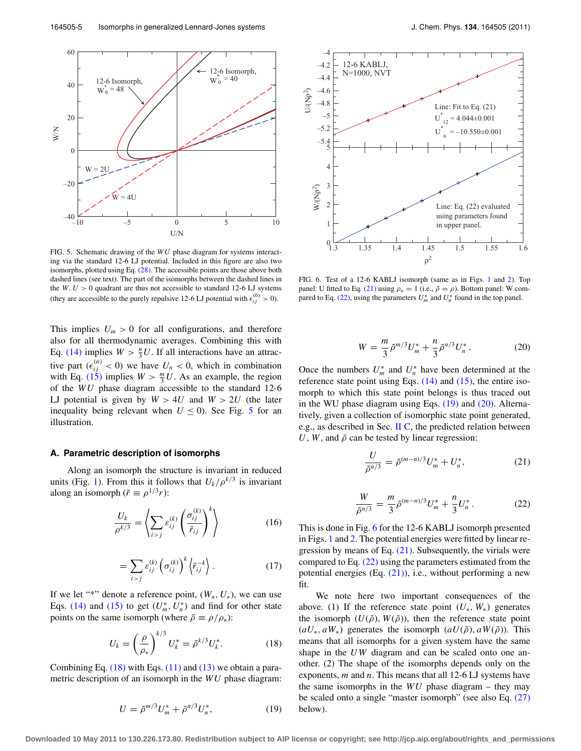<span id="page-4-0"></span>

FIG. 5. Schematic drawing of the *WU* phase diagram for systems interacting via the standard 12-6 LJ potential. Included in this figure are also two isomorphs, plotted using Eq.  $(28)$ . The accessible points are those above both dashed lines (see text). The part of the isomorphs between the dashed lines in the  $W, U > 0$  quadrant are thus not accessible to standard 12-6 LJ systems (they are accessible to the purely repulsive 12-6 LJ potential with  $\epsilon_{ij}^{(6)} > 0$ ).

This implies  $U_m > 0$  for all configurations, and therefore also for all thermodynamic averages. Combining this with Eq. [\(14\)](#page-3-5) implies  $W > \frac{n}{3}U$ . If all interactions have an attractive part  $(\epsilon_{ij}^{(n)} < 0)$  we have  $U_n < 0$ , which in combination with Eq. [\(15\)](#page-3-6) implies  $W > \frac{m}{3}U$ . As an example, the region of the *WU* phase diagram accessible to the standard 12-6 LJ potential is given by  $W > 4U$  and  $W > 2U$  (the later inequality being relevant when  $U \le 0$ ). See Fig. [5](#page-4-0) for an illustration.

# **A. Parametric description of isomorphs**

Along an isomorph the structure is invariant in reduced units (Fig. [1\)](#page-2-1). From this it follows that  $U_k/\rho^{k/3}$  is invariant along an isomorph ( $\tilde{r} \equiv \rho^{1/3}r$ ):

$$
\frac{U_k}{\rho^{k/3}} = \left\langle \sum_{i > j} \varepsilon_{ij}^{(k)} \left( \frac{\sigma_{ij}^{(k)}}{\tilde{r}_{ij}} \right)^k \right\rangle \tag{16}
$$

$$
=\sum_{i>j}\varepsilon_{ij}^{(k)}\left(\sigma_{ij}^{(k)}\right)^k\left\langle\tilde{r}_{ij}^{-k}\right\rangle. \tag{17}
$$

If we let "\*" denote a reference point,  $(W_*, U_*)$ , we can use Eqs. [\(14\)](#page-3-5) and [\(15\)](#page-3-6) to get  $(U_m^*, U_n^*)$  and find for other state points on the same isomorph (where  $\tilde{\rho} \equiv \rho/\rho_*$ ):

$$
U_k = \left(\frac{\rho}{\rho_*}\right)^{k/3} U_k^* = \tilde{\rho}^{k/3} U_k^*.
$$
 (18)

<span id="page-4-4"></span>Combining Eq.  $(18)$  with Eqs.  $(11)$  and  $(13)$  we obtain a parametric description of an isomorph in the *WU* phase diagram:

<span id="page-4-6"></span>

FIG. 6. Test of a 12-6 KABLJ isomorph (same as in Figs. [1](#page-2-1) and [2\)](#page-2-2). Top panel: U fitted to Eq. [\(21\)](#page-4-2) using  $\rho_* = 1$  (i.e.,  $\tilde{\rho} = \rho$ ). Bottom panel: W com-pared to Eq. [\(22\),](#page-4-3) using the parameters  $U_m^*$  and  $U_n^*$  found in the top panel.

$$
W = \frac{m}{3}\tilde{\rho}^{m/3}U_m^* + \frac{n}{3}\tilde{\rho}^{n/3}U_n^*.
$$
 (20)

<span id="page-4-5"></span>Once the numbers  $U_m^*$  and  $U_n^*$  have been determined at the reference state point using Eqs. [\(14\)](#page-3-5) and [\(15\),](#page-3-6) the entire isomorph to which this state point belongs is thus traced out in the WU phase diagram using Eqs. [\(19\)](#page-4-4) and [\(20\).](#page-4-5) Alternatively, given a collection of isomorphic state point generated, e.g., as described in Sec.  $\Pi C$ , the predicted relation between *U*, *W*, and  $\tilde{\rho}$  can be tested by linear regression:

<span id="page-4-2"></span>
$$
\frac{U}{\tilde{\rho}^{n/3}} = \tilde{\rho}^{(m-n)/3} U_m^* + U_n^*,\tag{21}
$$

$$
\frac{W}{\tilde{\rho}^{n/3}} = \frac{m}{3} \tilde{\rho}^{(m-n)/3} U_m^* + \frac{n}{3} U_n^* \,. \tag{22}
$$

<span id="page-4-3"></span>This is done in Fig. [6](#page-4-6) for the 12-6 KABLJ isomorph presented in Figs. [1](#page-2-1) and [2.](#page-2-2) The potential energies were fitted by linear regression by means of Eq. [\(21\).](#page-4-2) Subsequently, the virials were compared to Eq. [\(22\)](#page-4-3) using the parameters estimated from the potential energies (Eq. [\(21\)\)](#page-4-2), i.e., without performing a new fit.

<span id="page-4-1"></span>We note here two important consequences of the above. (1) If the reference state point  $(U_*, W_*)$  generates the isomorph  $(U(\tilde{\rho}), W(\tilde{\rho}))$ , then the reference state point  $(aU_*, aW_*)$  generates the isomorph  $(aU(\tilde{\rho}), aW(\tilde{\rho}))$ . This means that all isomorphs for a given system have the same shape in the *U W* diagram and can be scaled onto one another. (2) The shape of the isomorphs depends only on the exponents, *m* and *n*. This means that all 12-6 LJ systems have the same isomorphs in the *WU* phase diagram – they may be scaled onto a single "master isomorph" (see also Eq. [\(27\)](#page-5-2) below).

**Downloaded 10 May 2011 to 130.226.173.80. Redistribution subject to AIP license or copyright; see http://jcp.aip.org/about/rights\_and\_permissions**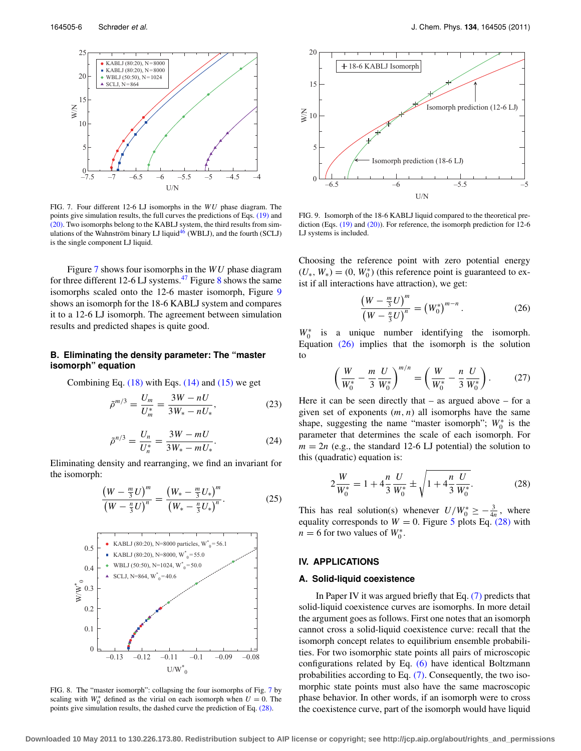<span id="page-5-3"></span>

FIG. 7. Four different 12-6 LJ isomorphs in the *WU* phase diagram. The points give simulation results, the full curves the predictions of Eqs. [\(19\)](#page-4-4) and [\(20\).](#page-4-5) Two isomorphs belong to the KABLJ system, the third results from simulations of the Wahnström binary LJ liquid $46$  (WBLJ), and the fourth (SCLJ) is the single component LJ liquid.

Figure [7](#page-5-3) shows four isomorphs in the *WU* phase diagram for three different 12-6 LJ systems.<sup>47</sup> Figure [8](#page-5-4) shows the same isomorphs scaled onto the 12-6 master isomorph, Figure [9](#page-5-5) shows an isomorph for the 18-6 KABLJ system and compares it to a 12-6 LJ isomorph. The agreement between simulation results and predicted shapes is quite good.

# **B. Eliminating the density parameter: The "master isomorph" equation**

Combining Eq.  $(18)$  with Eqs.  $(14)$  and  $(15)$  we get

$$
\tilde{\rho}^{m/3} = \frac{U_m}{U_m^*} = \frac{3W - nU}{3W_* - nU_*},\tag{23}
$$

$$
\tilde{\rho}^{n/3} = \frac{U_n}{U_n^*} = \frac{3W - mU}{3W_* - mU_*}.
$$
\n(24)

Eliminating density and rearranging, we find an invariant for the isomorph:

$$
\frac{\left(W - \frac{m}{3}U\right)^m}{\left(W - \frac{n}{3}U\right)^n} = \frac{\left(W_* - \frac{m}{3}U_*\right)^m}{\left(W_* - \frac{n}{3}U_*\right)^n}.
$$
\n(25)

<span id="page-5-4"></span>

FIG. 8. The "master isomorph": collapsing the four isomorphs of Fig. [7](#page-5-3) by scaling with  $W_0^*$  defined as the virial on each isomorph when  $U = 0$ . The points give simulation results, the dashed curve the prediction of Eq. [\(28\).](#page-5-1)

<span id="page-5-5"></span>

FIG. 9. Isomorph of the 18-6 KABLJ liquid compared to the theoretical prediction (Eqs. [\(19\)](#page-4-4) and [\(20\)\)](#page-4-5). For reference, the isomorph prediction for 12-6 LJ systems is included.

Choosing the reference point with zero potential energy  $(U_*, W_*) = (0, W_0^*)$  (this reference point is guaranteed to exist if all interactions have attraction), we get:

<span id="page-5-6"></span>
$$
\frac{\left(W - \frac{m}{3}U\right)^m}{\left(W - \frac{n}{3}U\right)^n} = \left(W_0^*\right)^{m-n}.\tag{26}
$$

*W*<sup>∗</sup> is a unique number identifying the isomorph. Equation [\(26\)](#page-5-6) implies that the isomorph is the solution to

<span id="page-5-2"></span>
$$
\left(\frac{W}{W_0^*} - \frac{m}{3} \frac{U}{W_0^*}\right)^{m/n} = \left(\frac{W}{W_0^*} - \frac{n}{3} \frac{U}{W_0^*}\right). \tag{27}
$$

Here it can be seen directly that  $-$  as argued above  $-$  for a given set of exponents (*m*, *n*) all isomorphs have the same shape, suggesting the name "master isomorph";  $W_0^*$  is the parameter that determines the scale of each isomorph. For  $m = 2n$  (e.g., the standard 12-6 LJ potential) the solution to this (quadratic) equation is:

<span id="page-5-1"></span>
$$
2\frac{W}{W_0^*} = 1 + 4\frac{n}{3}\frac{U}{W_0^*} \pm \sqrt{1 + 4\frac{n}{3}\frac{U}{W_0^*}}.
$$
 (28)

This has real solution(s) whenever  $U/W_0^* \geq -\frac{3}{4n}$ , where equality corresponds to  $W = 0$ . Figure [5](#page-4-0) plots Eq. [\(28\)](#page-5-1) with  $n = 6$  for two values of  $W_0^*$ .

# <span id="page-5-0"></span>**IV. APPLICATIONS**

### **A. Solid-liquid coexistence**

In Paper IV it was argued briefly that Eq. [\(7\)](#page-1-1) predicts that solid-liquid coexistence curves are isomorphs. In more detail the argument goes as follows. First one notes that an isomorph cannot cross a solid-liquid coexistence curve: recall that the isomorph concept relates to equilibrium ensemble probabilities. For two isomorphic state points all pairs of microscopic configurations related by Eq. [\(6\)](#page-1-3) have identical Boltzmann probabilities according to Eq. [\(7\).](#page-1-1) Consequently, the two isomorphic state points must also have the same macroscopic phase behavior. In other words, if an isomorph were to cross the coexistence curve, part of the isomorph would have liquid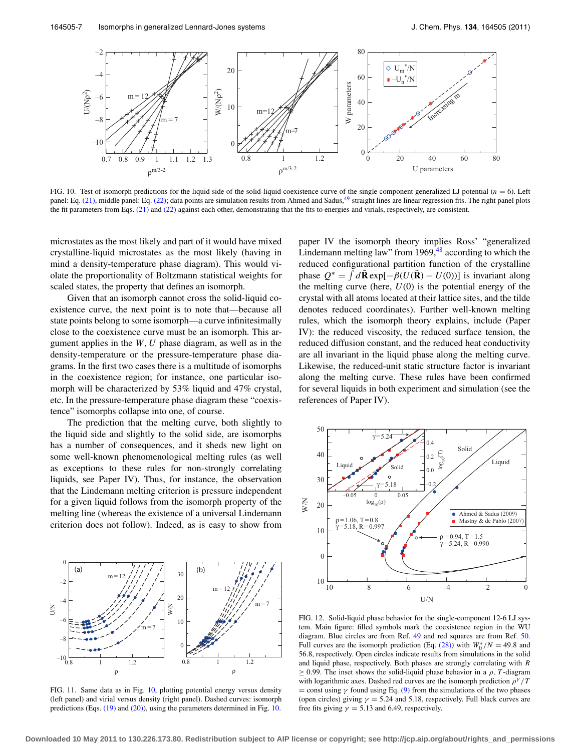<span id="page-6-0"></span>

FIG. 10. Test of isomorph predictions for the liquid side of the solid-liquid coexistence curve of the single component generalized LJ potential  $(n = 6)$ . Left panel: Eq. [\(21\),](#page-4-2) middle panel: Eq. [\(22\);](#page-4-3) data points are simulation results from Ahmed and Sadus, <sup>49</sup> straight lines are linear regression fits. The right panel plots the fit parameters from Eqs. [\(21\)](#page-4-2) and [\(22\)](#page-4-3) against each other, demonstrating that the fits to energies and virials, respectively, are consistent.

microstates as the most likely and part of it would have mixed crystalline-liquid microstates as the most likely (having in mind a density-temperature phase diagram). This would violate the proportionality of Boltzmann statistical weights for scaled states, the property that defines an isomorph.

Given that an isomorph cannot cross the solid-liquid coexistence curve, the next point is to note that—because all state points belong to some isomorph—a curve infinitesimally close to the coexistence curve must be an isomorph. This argument applies in the *W*, *U* phase diagram, as well as in the density-temperature or the pressure-temperature phase diagrams. In the first two cases there is a multitude of isomorphs in the coexistence region; for instance, one particular isomorph will be characterized by 53% liquid and 47% crystal, etc. In the pressure-temperature phase diagram these "coexistence" isomorphs collapse into one, of course.

The prediction that the melting curve, both slightly to the liquid side and slightly to the solid side, are isomorphs has a number of consequences, and it sheds new light on some well-known phenomenological melting rules (as well as exceptions to these rules for non-strongly correlating liquids, see Paper IV). Thus, for instance, the observation that the Lindemann melting criterion is pressure independent for a given liquid follows from the isomorph property of the melting line (whereas the existence of a universal Lindemann criterion does not follow). Indeed, as is easy to show from

<span id="page-6-1"></span>

FIG. 11. Same data as in Fig. [10,](#page-6-0) plotting potential energy versus density (left panel) and virial versus density (right panel). Dashed curves: isomorph predictions (Eqs. [\(19\)](#page-4-4) and [\(20\)\)](#page-4-5), using the parameters determined in Fig. [10.](#page-6-0)

paper IV the isomorph theory implies Ross' "generalized Lindemann melting law" from  $1969<sup>48</sup>$  according to which the reduced configurational partition function of the crystalline phase  $Q^* = \int d\mathbf{\tilde{R}} \exp[-\beta(U(\mathbf{\tilde{R}}) - U(0))]$  is invariant along the melting curve (here,  $U(0)$  is the potential energy of the crystal with all atoms located at their lattice sites, and the tilde denotes reduced coordinates). Further well-known melting rules, which the isomorph theory explains, include (Paper IV): the reduced viscosity, the reduced surface tension, the reduced diffusion constant, and the reduced heat conductivity are all invariant in the liquid phase along the melting curve. Likewise, the reduced-unit static structure factor is invariant along the melting curve. These rules have been confirmed for several liquids in both experiment and simulation (see the references of Paper IV).

<span id="page-6-2"></span>

FIG. 12. Solid-liquid phase behavior for the single-component 12-6 LJ system. Main figure: filled symbols mark the coexistence region in the WU diagram. Blue circles are from Ref. [49](#page-9-25) and red squares are from Ref. [50.](#page-9-27) Full curves are the isomorph prediction (Eq. [\(28\)\)](#page-5-1) with  $W_0^*/N = 49.8$  and 56.8, respectively. Open circles indicate results from simulations in the solid and liquid phase, respectively. Both phases are strongly correlating with *R*  $\geq$  0.99. The inset shows the solid-liquid phase behavior in a  $\rho$ , *T*-diagram with logarithmic axes. Dashed red curves are the isomorph prediction  $\rho^{\gamma}/T$ = const using  $\gamma$  found using Eq. [\(9\)](#page-2-0) from the simulations of the two phases (open circles) giving  $\gamma = 5.24$  and 5.18, respectively. Full black curves are free fits giving  $\gamma = 5.13$  and 6.49, respectively.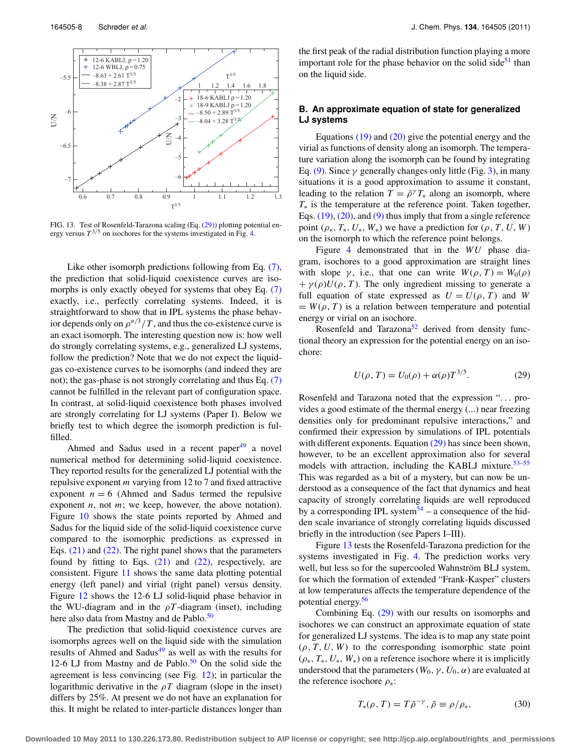<span id="page-7-1"></span>

FIG. 13. Test of Rosenfeld-Tarazona scaling (Eq. [\(29\)\)](#page-7-0) plotting potential energy versus  $T^{3/5}$  on isochores for the systems investigated in Fig. [4.](#page-3-2)

Like other isomorph predictions following from Eq.  $(7)$ , the prediction that solid-liquid coexistence curves are iso-morphs is only exactly obeyed for systems that obey Eq. [\(7\)](#page-1-1) exactly, i.e., perfectly correlating systems. Indeed, it is straightforward to show that in IPL systems the phase behavior depends only on  $\rho^{n/3}/T$ , and thus the co-existence curve is an exact isomorph. The interesting question now is: how well do strongly correlating systems, e.g., generalized LJ systems, follow the prediction? Note that we do not expect the liquidgas co-existence curves to be isomorphs (and indeed they are not); the gas-phase is not strongly correlating and thus Eq. [\(7\)](#page-1-1) cannot be fulfilled in the relevant part of configuration space. In contrast, at solid-liquid coexistence both phases involved are strongly correlating for LJ systems (Paper I). Below we briefly test to which degree the isomorph prediction is fulfilled.

Ahmed and Sadus used in a recent paper $49$  a novel numerical method for determining solid-liquid coexistence. They reported results for the generalized LJ potential with the repulsive exponent *m* varying from 12 to 7 and fixed attractive exponent  $n = 6$  (Ahmed and Sadus termed the repulsive exponent *n*, not *m*; we keep, however, the above notation). Figure [10](#page-6-0) shows the state points reported by Ahmed and Sadus for the liquid side of the solid-liquid coexistence curve compared to the isomorphic predictions as expressed in Eqs.  $(21)$  and  $(22)$ . The right panel shows that the parameters found by fitting to Eqs.  $(21)$  and  $(22)$ , respectively, are consistent. Figure [11](#page-6-1) shows the same data plotting potential energy (left panel) and virial (right panel) versus density. Figure [12](#page-6-2) shows the 12-6 LJ solid-liquid phase behavior in the WU-diagram and in the  $\rho T$ -diagram (inset), including here also data from Mastny and de Pablo.<sup>50</sup>

The prediction that solid-liquid coexistence curves are isomorphs agrees well on the liquid side with the simulation results of Ahmed and Sadus<sup>49</sup> as well as with the results for 12-6 LJ from Mastny and de Pablo. $50$  On the solid side the agreement is less convincing (see Fig. [12\)](#page-6-2); in particular the logarithmic derivative in the  $\rho T$  diagram (slope in the inset) differs by 25%. At present we do not have an explanation for this. It might be related to inter-particle distances longer than the first peak of the radial distribution function playing a more important role for the phase behavior on the solid side $51$  than on the liquid side.

# **B. An approximate equation of state for generalized LJ systems**

Equations  $(19)$  and  $(20)$  give the potential energy and the virial as functions of density along an isomorph. The temperature variation along the isomorph can be found by integrating Eq. [\(9\).](#page-2-0) Since  $\gamma$  generally changes only little (Fig. [3\)](#page-3-1), in many situations it is a good approximation to assume it constant, leading to the relation  $T = \tilde{\rho}^{\gamma} T_*$  along an isomorph, where *T*<sup>∗</sup> is the temperature at the reference point. Taken together, Eqs. [\(19\),](#page-4-4) [\(20\),](#page-4-5) and [\(9\)](#page-2-0) thus imply that from a single reference point  $(\rho_*, T_*, U_*, W_*)$  we have a prediction for  $(\rho, T, U, W)$ on the isomorph to which the reference point belongs.

Figure [4](#page-3-2) demonstrated that in the *WU* phase diagram, isochores to a good approximation are straight lines with slope  $\gamma$ , i.e., that one can write  $W(\rho, T) = W_0(\rho)$  $+\gamma(\rho)U(\rho, T)$ . The only ingredient missing to generate a full equation of state expressed as  $U = U(\rho, T)$  and *W*  $= W(\rho, T)$  is a relation between temperature and potential energy or virial on an isochore.

Rosenfeld and Tarazona<sup>52</sup> derived from density functional theory an expression for the potential energy on an isochore:

<span id="page-7-0"></span>
$$
U(\rho, T) = U_0(\rho) + \alpha(\rho) T^{3/5}.
$$
 (29)

Rosenfeld and Tarazona noted that the expression "... provides a good estimate of the thermal energy (...) near freezing densities only for predominant repulsive interactions," and confirmed their expression by simulations of IPL potentials with different exponents. Equation [\(29\)](#page-7-0) has since been shown, however, to be an excellent approximation also for several models with attraction, including the KABLJ mixture.<sup>53–[55](#page-10-0)</sup> This was regarded as a bit of a mystery, but can now be understood as a consequence of the fact that dynamics and heat capacity of strongly correlating liquids are well reproduced by a corresponding IPL system $54 - a$  $54 - a$  consequence of the hidden scale invariance of strongly correlating liquids discussed briefly in the introduction (see Papers I–III).

Figure [13](#page-7-1) tests the Rosenfeld-Tarazona prediction for the systems investigated in Fig. [4.](#page-3-2) The prediction works very well, but less so for the supercooled Wahnström BLJ system, for which the formation of extended "Frank-Kasper" clusters at low temperatures affects the temperature dependence of the potential energy.[56](#page-10-2)

Combining Eq. [\(29\)](#page-7-0) with our results on isomorphs and isochores we can construct an approximate equation of state for generalized LJ systems. The idea is to map any state point  $(\rho, T, U, W)$  to the corresponding isomorphic state point  $(\rho_*, T_*, U_*, W_*)$  on a reference isochore where it is implicitly understood that the parameters ( $W_0, \gamma, U_0, \alpha$ ) are evaluated at the reference isochore  $\rho_*$ :

<span id="page-7-2"></span>
$$
T_*(\rho, T) = T \tilde{\rho}^{-\gamma}, \tilde{\rho} \equiv \rho/\rho_*, \qquad (30)
$$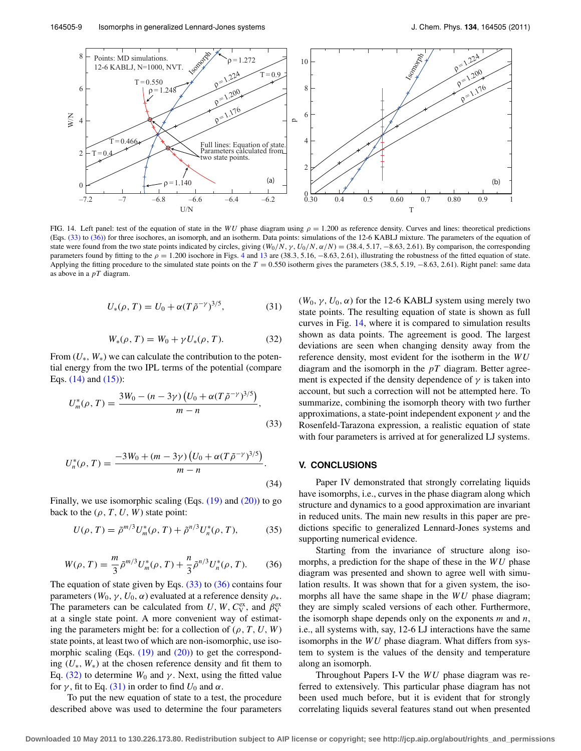<span id="page-8-3"></span>

FIG. 14. Left panel: test of the equation of state in the WU phase diagram using  $\rho = 1.200$  as reference density. Curves and lines: theoretical predictions (Eqs. [\(33\)](#page-8-0) to [\(36\)\)](#page-8-1) for three isochores, an isomorph, and an isotherm. Data points: simulations of the 12-6 KABLJ mixture. The parameters of the equation of state were found from the two state points indicated by circles, giving  $(W_0/N, \gamma, U_0/N, \alpha/N) = (38.4, 5.17, -8.63, 2.61)$ . By comparison, the corresponding parameters found by fitting to the  $\rho = 1.200$  isochore in Figs. [4](#page-3-2) and [13](#page-7-1) are (38.3, 5.16, -8.63, 2.61), illustrating the robustness of the fitted equation of state. Applying the fitting procedure to the simulated state points on the  $T = 0.550$  isotherm gives the parameters (38.5, 5.19,  $-8.63$ , 2.61). Right panel: same data as above in a *pT* diagram.

$$
U_*(\rho, T) = U_0 + \alpha (T \tilde{\rho}^{-\gamma})^{3/5}, \tag{31}
$$

<span id="page-8-0"></span>
$$
W_*(\rho, T) = W_0 + \gamma U_*(\rho, T). \tag{32}
$$

<span id="page-8-2"></span>From  $(U_*, W_*)$  we can calculate the contribution to the potential energy from the two IPL terms of the potential (compare Eqs. [\(14\)](#page-3-5) and [\(15\)\)](#page-3-6):

$$
U_m^*(\rho, T) = \frac{3W_0 - (n - 3\gamma) (U_0 + \alpha (T\tilde{\rho}^{-\gamma})^{3/5})}{m - n},
$$
\n(33)

$$
U_n^*(\rho, T) = \frac{-3W_0 + (m - 3\gamma) (U_0 + \alpha (T\tilde{\rho}^{-\gamma})^{3/5})}{m - n}.
$$
\n(34)

Finally, we use isomorphic scaling (Eqs.  $(19)$  and  $(20)$ ) to go back to the  $(\rho, T, U, W)$  state point:

$$
U(\rho, T) = \tilde{\rho}^{m/3} U_m^*(\rho, T) + \tilde{\rho}^{n/3} U_n^*(\rho, T), \tag{35}
$$

<span id="page-8-1"></span>
$$
W(\rho, T) = \frac{m}{3} \tilde{\rho}^{m/3} U_m^*(\rho, T) + \frac{n}{3} \tilde{\rho}^{n/3} U_n^*(\rho, T). \tag{36}
$$

The equation of state given by Eqs.  $(33)$  to  $(36)$  contains four parameters ( $W_0, \gamma, U_0, \alpha$ ) evaluated at a reference density  $\rho_*$ . The parameters can be calculated from  $U, W, C_V^{\text{ex}},$  and  $\beta_V^{\text{ex}}$ at a single state point. A more convenient way of estimating the parameters might be: for a collection of  $(\rho, T, U, W)$ state points, at least two of which are non-isomorphic, use isomorphic scaling (Eqs.  $(19)$  and  $(20)$ ) to get the corresponding (*U*∗, *W*∗) at the chosen reference density and fit them to Eq.  $(32)$  to determine  $W_0$  and  $\gamma$ . Next, using the fitted value for  $\gamma$ , fit to Eq. [\(31\)](#page-7-2) in order to find  $U_0$  and  $\alpha$ .

To put the new equation of state to a test, the procedure described above was used to determine the four parameters ( $W_0$ ,  $\gamma$ ,  $U_0$ ,  $\alpha$ ) for the 12-6 KABLJ system using merely two state points. The resulting equation of state is shown as full curves in Fig. [14,](#page-8-3) where it is compared to simulation results shown as data points. The agreement is good. The largest deviations are seen when changing density away from the reference density, most evident for the isotherm in the *WU* diagram and the isomorph in the *pT* diagram. Better agreement is expected if the density dependence of  $\gamma$  is taken into account, but such a correction will not be attempted here. To summarize, combining the isomorph theory with two further approximations, a state-point independent exponent  $\gamma$  and the Rosenfeld-Tarazona expression, a realistic equation of state with four parameters is arrived at for generalized LJ systems.

#### **V. CONCLUSIONS**

Paper IV demonstrated that strongly correlating liquids have isomorphs, i.e., curves in the phase diagram along which structure and dynamics to a good approximation are invariant in reduced units. The main new results in this paper are predictions specific to generalized Lennard-Jones systems and supporting numerical evidence.

Starting from the invariance of structure along isomorphs, a prediction for the shape of these in the *WU* phase diagram was presented and shown to agree well with simulation results. It was shown that for a given system, the isomorphs all have the same shape in the *WU* phase diagram; they are simply scaled versions of each other. Furthermore, the isomorph shape depends only on the exponents *m* and *n*, i.e., all systems with, say, 12-6 LJ interactions have the same isomorphs in the *WU* phase diagram. What differs from system to system is the values of the density and temperature along an isomorph.

Throughout Papers I-V the *WU* phase diagram was referred to extensively. This particular phase diagram has not been used much before, but it is evident that for strongly correlating liquids several features stand out when presented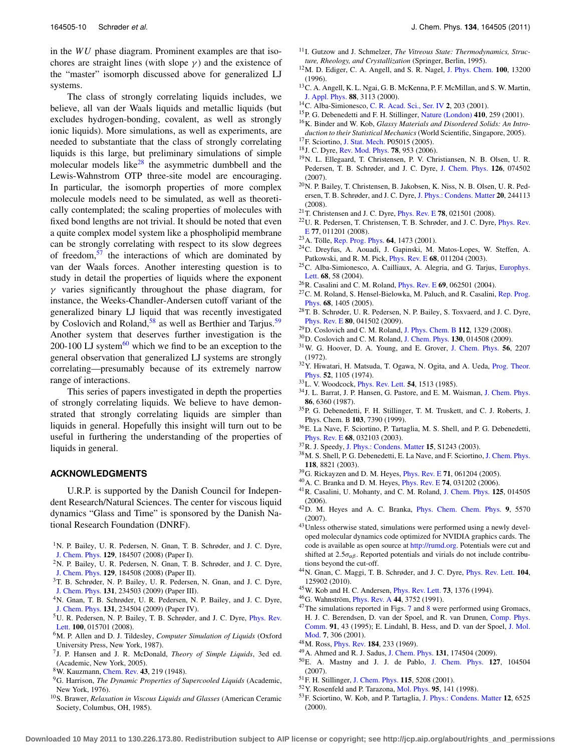in the *WU* phase diagram. Prominent examples are that isochores are straight lines (with slope  $\gamma$ ) and the existence of the "master" isomorph discussed above for generalized LJ systems.

The class of strongly correlating liquids includes, we believe, all van der Waals liquids and metallic liquids (but excludes hydrogen-bonding, covalent, as well as strongly ionic liquids). More simulations, as well as experiments, are needed to substantiate that the class of strongly correlating liquids is this large, but preliminary simulations of simple molecular models like<sup>28</sup> the asymmetric dumbbell and the Lewis-Wahnstrom OTP three-site model are encouraging. In particular, the isomorph properties of more complex molecule models need to be simulated, as well as theoretically contemplated; the scaling properties of molecules with fixed bond lengths are not trivial. It should be noted that even a quite complex model system like a phospholipid membrane can be strongly correlating with respect to its slow degrees of freedom, $57$  the interactions of which are dominated by van der Waals forces. Another interesting question is to study in detail the properties of liquids where the exponent  $\gamma$  varies significantly throughout the phase diagram, for instance, the Weeks-Chandler-Andersen cutoff variant of the generalized binary LJ liquid that was recently investigated by Coslovich and Roland,<sup>58</sup> as well as Berthier and Tarjus.<sup>[59](#page-10-5)</sup> Another system that deserves further investigation is the 200-100 LJ system $^{60}$  $^{60}$  $^{60}$  which we find to be an exception to the general observation that generalized LJ systems are strongly correlating—presumably because of its extremely narrow range of interactions.

This series of papers investigated in depth the properties of strongly correlating liquids. We believe to have demonstrated that strongly correlating liquids are simpler than liquids in general. Hopefully this insight will turn out to be useful in furthering the understanding of the properties of liquids in general.

# **ACKNOWLEDGMENTS**

U.R.P. is supported by the Danish Council for Independent Research/Natural Sciences. The center for viscous liquid dynamics "Glass and Time" is sponsored by the Danish National Research Foundation (DNRF).

- <span id="page-9-0"></span><sup>1</sup>N. P. Bailey, U. R. Pedersen, N. Gnan, T. B. Schrøder, and J. C. Dyre, [J. Chem. Phys.](http://dx.doi.org/10.1063/1.2982247) **129**, 184507 (2008) (Paper I).
- <span id="page-9-10"></span>2N. P. Bailey, U. R. Pedersen, N. Gnan, T. B. Schrøder, and J. C. Dyre, [J. Chem. Phys.](http://dx.doi.org/10.1063/1.2982249) **129**, 184508 (2008) (Paper II).
- <span id="page-9-19"></span>3T. B. Schrøder, N. P. Bailey, U. R. Pedersen, N. Gnan, and J. C. Dyre, [J. Chem. Phys.](http://dx.doi.org/10.1063/1.3265955) **131**, 234503 (2009) (Paper III).
- <span id="page-9-1"></span>4N. Gnan, T. B. Schrøder, U. R. Pedersen, N. P. Bailey, and J. C. Dyre, [J. Chem. Phys.](http://dx.doi.org/10.1063/1.3265957) **131**, 234504 (2009) (Paper IV).
- <span id="page-9-2"></span><sup>5</sup>U. R. Pedersen, N. P. Bailey, T. B. Schrøder, and J. C. Dyre, *[Phys. Rev.](http://dx.doi.org/10.1103/PhysRevLett.100.015701)* [Lett.](http://dx.doi.org/10.1103/PhysRevLett.100.015701) **100**, 015701 (2008).
- <span id="page-9-3"></span>6M. P. Allen and D. J. Tildesley, *Computer Simulation of Liquids* (Oxford University Press, New York, 1987).
- <span id="page-9-4"></span>7J. P. Hansen and J. R. McDonald, *Theory of Simple Liquids*, 3ed ed. (Academic, New York, 2005).
- <span id="page-9-5"></span>8W. Kauzmann, [Chem. Rev.](http://dx.doi.org/10.1021/cr60135a002) **43**, 219 (1948).
- 9G. Harrison, *The Dynamic Properties of Supercooled Liquids* (Academic, New York, 1976).
- 10S. Brawer, *Relaxation in Viscous Liquids and Glasses* (American Ceramic Society, Columbus, OH, 1985).
- <sup>11</sup>I. Gutzow and J. Schmelzer, *The Vitreous State: Thermodynamics, Structure, Rheology, and Crystallization* (Springer, Berlin, 1995).
- 12M. D. Ediger, C. A. Angell, and S. R. Nagel, [J. Phys. Chem.](http://dx.doi.org/10.1021/jp953538d) **100**, 13200 (1996).
- <sup>13</sup>C. A. Angell, K. L. Ngai, G. B. McKenna, P. F. McMillan, and S. W. Martin, [J. Appl. Phys.](http://dx.doi.org/10.1063/1.1286035) **88**, 3113 (2000).
- 14C. Alba-Simionesco, [C. R. Acad. Sci., Ser. IV](http://dx.doi.org/10.1016/S1296-2147(01)01165-9) **2**, 203 (2001).
- 15P. G. Debenedetti and F. H. Stillinger, [Nature \(London\)](http://dx.doi.org/10.1038/35065704) **410**, 259 (2001).
- 16K. Binder and W. Kob, *Glassy Materials and Disordered Solids: An Introduction to their Statistical Mechanics*(World Scientific, Singapore, 2005).
- <span id="page-9-6"></span>17F. Sciortino, [J. Stat. Mech.](http://dx.doi.org/10.1088/1742-5468/2005/05/P05015) P05015 (2005). 18J. C. Dyre, [Rev. Mod. Phys.](http://dx.doi.org/10.1103/RevModPhys.78.953) **78**, 953 (2006).
- <span id="page-9-7"></span>19N. L. Ellegaard, T. Christensen, P. V. Christiansen, N. B. Olsen, U. R. Pedersen, T. B. Schrøder, and J. C. Dyre, [J. Chem. Phys.](http://dx.doi.org/10.1063/1.2434963) **126**, 074502 (2007).
- <span id="page-9-11"></span>20N. P. Bailey, T. Christensen, B. Jakobsen, K. Niss, N. B. Olsen, U. R. Pedersen, T. B. Schrøder, and J. C. Dyre, [J. Phys.: Condens. Matter](http://dx.doi.org/10.1088/0953-8984/20/24/244113) **20**, 244113 (2008).
- <span id="page-9-9"></span><span id="page-9-8"></span>21T. Christensen and J. C. Dyre, [Phys. Rev. E](http://dx.doi.org/10.1103/PhysRevE.78.021501) **78**, 021501 (2008).
- 22U. R. Pedersen, T. Christensen, T. B. Schrøder, and J. C. Dyre, [Phys. Rev.](http://dx.doi.org/10.1103/PhysRevE.77.011201) [E](http://dx.doi.org/10.1103/PhysRevE.77.011201) **77**, 011201 (2008).
- <span id="page-9-12"></span>23A. Tölle, [Rep. Prog. Phys.](http://dx.doi.org/10.1088/0034-4885/64/11/203) **64**, 1473 (2001).
- 24C. Dreyfus, A. Aouadi, J. Gapinski, M. Matos-Lopes, W. Steffen, A. Patkowski, and R. M. Pick, [Phys. Rev. E](http://dx.doi.org/10.1103/PhysRevE.68.011204) **68**, 011204 (2003).
- <sup>25</sup>C. Alba-Simionesco, A. Cailliaux, A. Alegria, and G. Tarjus, [Europhys.](http://dx.doi.org/10.1209/epl/i2004-10214-6) [Lett.](http://dx.doi.org/10.1209/epl/i2004-10214-6) **68**, 58 (2004).
- <span id="page-9-13"></span>26R. Casalini and C. M. Roland, [Phys. Rev. E](http://dx.doi.org/10.1103/PhysRevE.69.062501) **69**, 062501 (2004).
- 27C. M. Roland, S. Hensel-Bielowka, M. Paluch, and R. Casalini, [Rep. Prog.](http://dx.doi.org/10.1088/0034-4885/68/6/R03) [Phys.](http://dx.doi.org/10.1088/0034-4885/68/6/R03) **68**, 1405 (2005).
- <span id="page-9-14"></span>28T. B. Schrøder, U. R. Pedersen, N. P. Bailey, S. Toxvaerd, and J. C. Dyre, [Phys. Rev. E](http://dx.doi.org/10.1103/PhysRevE.80.041502) **80**, 041502 (2009).
- <span id="page-9-16"></span><span id="page-9-15"></span>29D. Coslovich and C. M. Roland, [J. Phys. Chem. B](http://dx.doi.org/10.1021/jp710457e) **112**, 1329 (2008).
- <span id="page-9-17"></span>30D. Coslovich and C. M. Roland, [J. Chem. Phys.](http://dx.doi.org/10.1063/1.3054635) **130**, 014508 (2009).
- 31W. G. Hoover, D. A. Young, and E. Grover, [J. Chem. Phys.](http://dx.doi.org/10.1063/1.1677521) **56**, 2207 (1972).
- 32Y. Hiwatari, H. Matsuda, T. Ogawa, N. Ogita, and A. Ueda, [Prog. Theor.](http://dx.doi.org/10.1143/PTP.52.1105) [Phys.](http://dx.doi.org/10.1143/PTP.52.1105) **52**, 1105 (1974).
- 33L. V. Woodcock, [Phys. Rev. Lett.](http://dx.doi.org/10.1103/PhysRevLett.54.1513) **54**, 1513 (1985).
- 34J. L. Barrat, J. P. Hansen, G. Pastore, and E. M. Waisman, [J. Chem. Phys.](http://dx.doi.org/10.1063/1.452422) **86**, 6360 (1987).
- 35P. G. Debenedetti, F. H. Stillinger, T. M. Truskett, and C. J. Roberts, J. Phys. Chem. B **103**, 7390 (1999).
- 36E. La Nave, F. Sciortino, P. Tartaglia, M. S. Shell, and P. G. Debenedetti, [Phys. Rev. E](http://dx.doi.org/10.1103/PhysRevE.68.032103) **68**, 032103 (2003).
- 37R. J. Speedy, [J. Phys.: Condens. Matter](http://dx.doi.org/10.1088/0953-8984/15/11/342) **15**, S1243 (2003).
- <sup>38</sup>M. S. Shell, P. G. Debenedetti, E. La Nave, and F. Sciortino, [J. Chem. Phys.](http://dx.doi.org/10.1063/1.1566943) **118**, 8821 (2003).
- 39G. Rickayzen and D. M. Heyes, [Phys. Rev. E](http://dx.doi.org/10.1103/PhysRevE.71.061204) **71**, 061204 (2005).
- 40A. C. Branka and D. M. Heyes, [Phys. Rev. E](http://dx.doi.org/10.1103/PhysRevE.74.031202) **74**, 031202 (2006).
- 41R. Casalini, U. Mohanty, and C. M. Roland, [J. Chem. Phys.](http://dx.doi.org/10.1063/1.2206582) **125**, 014505 (2006).
- <span id="page-9-18"></span>42D. M. Heyes and A. C. Branka, [Phys. Chem. Chem. Phys.](http://dx.doi.org/10.1039/b709053f) **9**, 5570 (2007).
- <span id="page-9-20"></span><sup>43</sup>Unless otherwise stated, simulations were performed using a newly developed molecular dynamics code optimized for NVIDIA graphics cards. The code is available as open source at [http://rumd.org.](http://rumd.org) Potentials were cut and shifted at  $2.5\sigma_{\alpha\beta}$ . Reported potentials and virials do not include contributions beyond the cut-off.
- <span id="page-9-21"></span>44N. Gnan, C. Maggi, T. B. Schrøder, and J. C. Dyre, [Phys. Rev. Lett.](http://dx.doi.org/10.1103/PhysRevLett.104.125902) **104**, 125902 (2010).
- <span id="page-9-23"></span><span id="page-9-22"></span>45W. Kob and H. C. Andersen, [Phys. Rev. Lett.](http://dx.doi.org/10.1103/PhysRevLett.73.1376) **73**, 1376 (1994).
- <span id="page-9-24"></span>46G. Wahnström, [Phys. Rev. A](http://dx.doi.org/10.1103/PhysRevA.44.3752) **44**, 3752 (1991).
- $47$  $47$ The simulations reported in Figs. 7 and [8](#page-5-4) were performed using Gromacs, H. J. C. Berendsen, D. van der Spoel, and R. van Drunen, [Comp. Phys.](http://dx.doi.org/10.1016/0010-4655(95)00042-E) [Comm.](http://dx.doi.org/10.1016/0010-4655(95)00042-E) **91**, 43 (1995); E. Lindahl, B. Hess, and D. van der Spoel, [J. Mol.](http://dx.doi.org/10.1007/s008940100045) [Mod.](http://dx.doi.org/10.1007/s008940100045) **7**, 306 (2001).
- <span id="page-9-26"></span><span id="page-9-25"></span>48M. Ross, [Phys. Rev.](http://dx.doi.org/10.1103/PhysRev.184.233) **184**, 233 (1969).
- 49A. Ahmed and R. J. Sadus, [J. Chem. Phys.](http://dx.doi.org/10.1063/1.3253686) **131**, 174504 (2009).
- <span id="page-9-27"></span>50E. A. Mastny and J. J. de Pablo, [J. Chem. Phys.](http://dx.doi.org/10.1063/1.2753149) **127**, 104504 (2007).
- <span id="page-9-29"></span><span id="page-9-28"></span>51F. H. Stillinger, [J. Chem. Phys.](http://dx.doi.org/10.1063/1.1394922) **115**, 5208 (2001).
- <span id="page-9-30"></span>52Y. Rosenfeld and P. Tarazona, [Mol. Phys.](http://dx.doi.org/10.1080/00268979809483145) **95**, 141 (1998).
- 53F. Sciortino, W. Kob, and P. Tartaglia, [J. Phys.: Condens. Matter](http://dx.doi.org/10.1088/0953-8984/12/29/324) **12**, 6525 (2000).